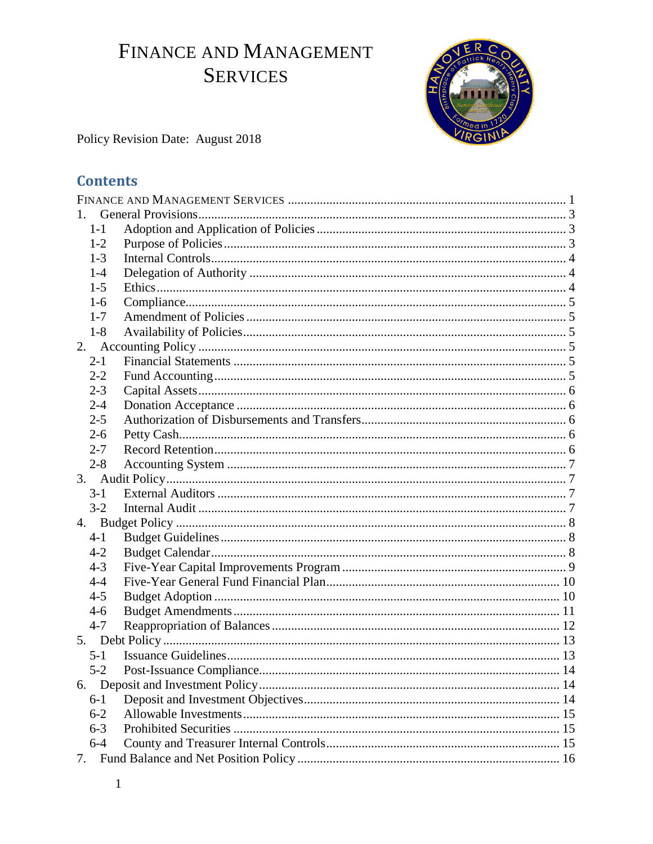# <span id="page-0-0"></span>FINANCE AND MANAGEMENT **SERVICES**



Policy Revision Date: August 2018

## **Contents**

| 1.      |  |  |  |  |  |
|---------|--|--|--|--|--|
| $1 - 1$ |  |  |  |  |  |
| $1 - 2$ |  |  |  |  |  |
| $1-3$   |  |  |  |  |  |
| $1 - 4$ |  |  |  |  |  |
| $1-5$   |  |  |  |  |  |
| $1-6$   |  |  |  |  |  |
| $1 - 7$ |  |  |  |  |  |
| $1-8$   |  |  |  |  |  |
| 2.      |  |  |  |  |  |
| $2 - 1$ |  |  |  |  |  |
| $2 - 2$ |  |  |  |  |  |
| $2 - 3$ |  |  |  |  |  |
| $2 - 4$ |  |  |  |  |  |
| $2 - 5$ |  |  |  |  |  |
| $2 - 6$ |  |  |  |  |  |
| $2 - 7$ |  |  |  |  |  |
| $2 - 8$ |  |  |  |  |  |
|         |  |  |  |  |  |
| $3-1$   |  |  |  |  |  |
| $3-2$   |  |  |  |  |  |
|         |  |  |  |  |  |
| $4 - 1$ |  |  |  |  |  |
| $4 - 2$ |  |  |  |  |  |
| $4 - 3$ |  |  |  |  |  |
| $4 - 4$ |  |  |  |  |  |
| $4 - 5$ |  |  |  |  |  |
| $4 - 6$ |  |  |  |  |  |
| $4 - 7$ |  |  |  |  |  |
|         |  |  |  |  |  |
| $5-1$   |  |  |  |  |  |
| $5 - 2$ |  |  |  |  |  |
| 6.      |  |  |  |  |  |
| $6-1$   |  |  |  |  |  |
| $6 - 2$ |  |  |  |  |  |
| $6 - 3$ |  |  |  |  |  |
| $6 - 4$ |  |  |  |  |  |
|         |  |  |  |  |  |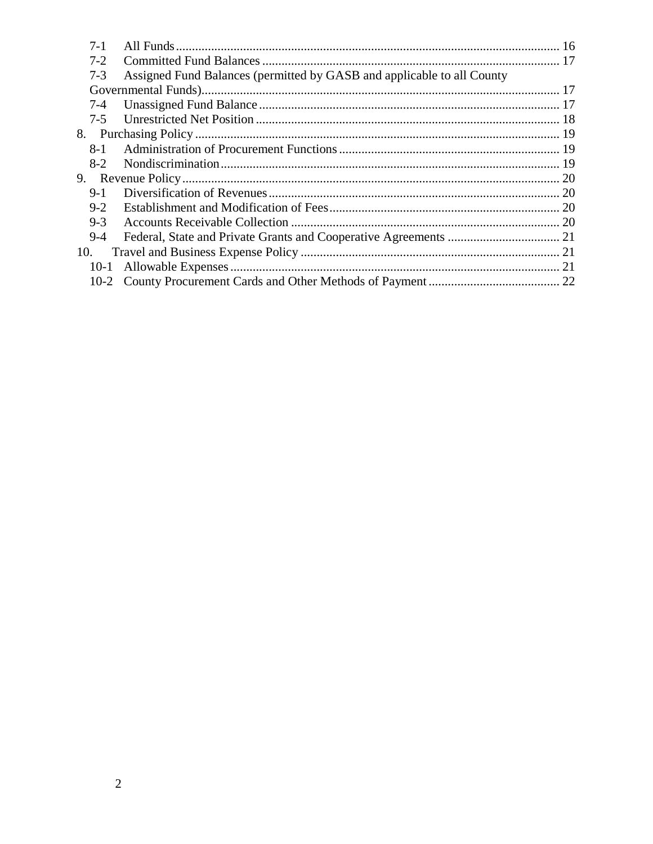| $7-1$   |                                                                        |  |
|---------|------------------------------------------------------------------------|--|
| $7-2$   |                                                                        |  |
| $7 - 3$ | Assigned Fund Balances (permitted by GASB and applicable to all County |  |
|         |                                                                        |  |
| $7-4$   |                                                                        |  |
|         |                                                                        |  |
| 8.      |                                                                        |  |
| $8-1$   |                                                                        |  |
| $8-2$   |                                                                        |  |
| 9.      |                                                                        |  |
| $9-1$   |                                                                        |  |
| $9-2$   |                                                                        |  |
| $9 - 3$ |                                                                        |  |
| $9-4$   |                                                                        |  |
| 10.     |                                                                        |  |
| $10-1$  |                                                                        |  |
|         |                                                                        |  |
|         |                                                                        |  |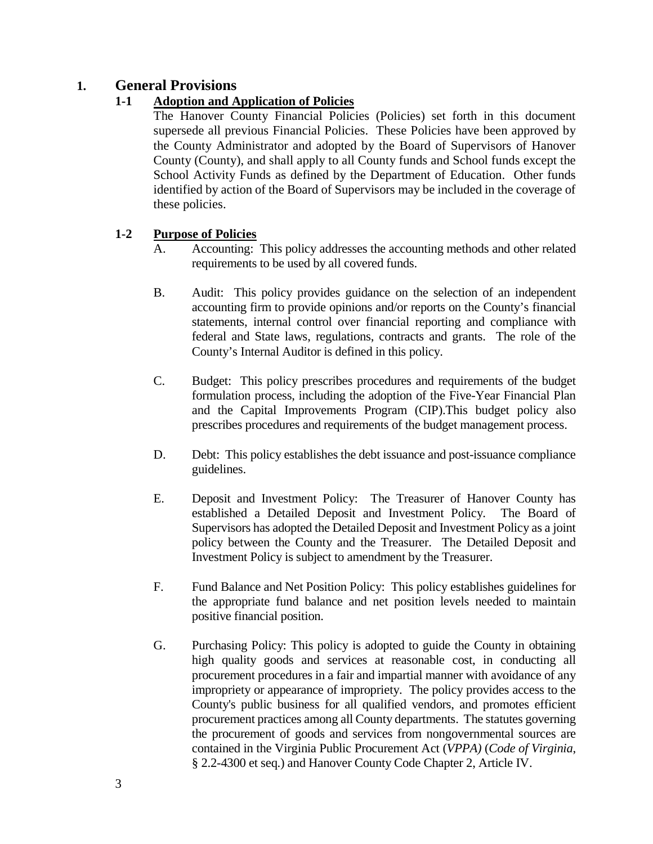## <span id="page-2-1"></span><span id="page-2-0"></span>**1. General Provisions**

## **1-1 Adoption and Application of Policies**

The Hanover County Financial Policies (Policies) set forth in this document supersede all previous Financial Policies. These Policies have been approved by the County Administrator and adopted by the Board of Supervisors of Hanover County (County), and shall apply to all County funds and School funds except the School Activity Funds as defined by the Department of Education. Other funds identified by action of the Board of Supervisors may be included in the coverage of these policies.

## <span id="page-2-2"></span>**1-2 Purpose of Policies**

- A. Accounting: This policy addresses the accounting methods and other related requirements to be used by all covered funds.
- B. Audit: This policy provides guidance on the selection of an independent accounting firm to provide opinions and/or reports on the County's financial statements, internal control over financial reporting and compliance with federal and State laws, regulations, contracts and grants. The role of the County's Internal Auditor is defined in this policy.
- C. Budget: This policy prescribes procedures and requirements of the budget formulation process, including the adoption of the Five-Year Financial Plan and the Capital Improvements Program (CIP).This budget policy also prescribes procedures and requirements of the budget management process.
- D. Debt: This policy establishes the debt issuance and post-issuance compliance guidelines.
- E. Deposit and Investment Policy: The Treasurer of Hanover County has established a Detailed Deposit and Investment Policy. The Board of Supervisors has adopted the Detailed Deposit and Investment Policy as a joint policy between the County and the Treasurer. The Detailed Deposit and Investment Policy is subject to amendment by the Treasurer.
- F. Fund Balance and Net Position Policy: This policy establishes guidelines for the appropriate fund balance and net position levels needed to maintain positive financial position.
- G. Purchasing Policy: This policy is adopted to guide the County in obtaining high quality goods and services at reasonable cost, in conducting all procurement procedures in a fair and impartial manner with avoidance of any impropriety or appearance of impropriety. The policy provides access to the County's public business for all qualified vendors, and promotes efficient procurement practices among all County departments. The statutes governing the procurement of goods and services from nongovernmental sources are contained in the Virginia Public Procurement Act (*VPPA)* (*Code of Virginia*, § 2.2-4300 et seq.) and Hanover County Code Chapter 2, Article IV.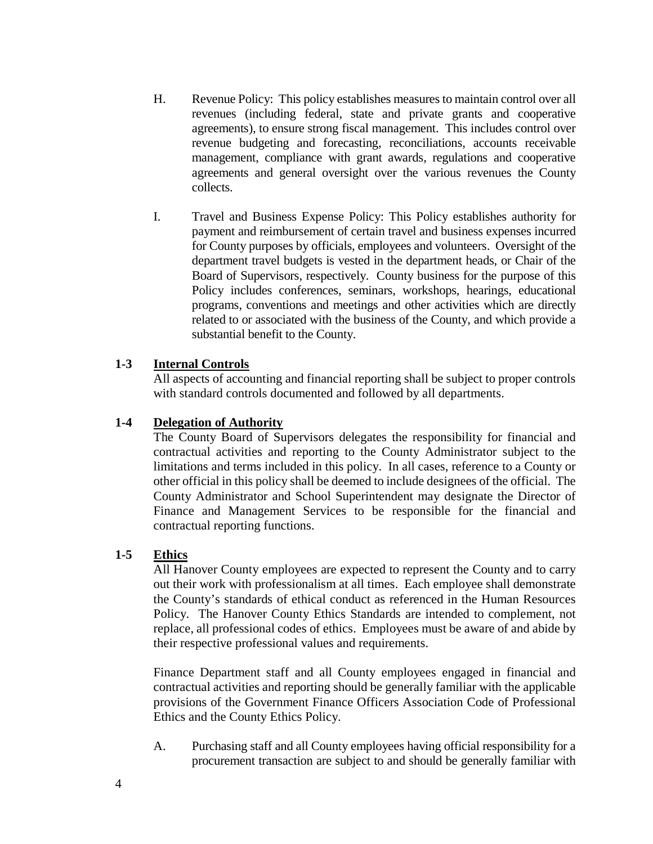- H. Revenue Policy: This policy establishes measures to maintain control over all revenues (including federal, state and private grants and cooperative agreements), to ensure strong fiscal management. This includes control over revenue budgeting and forecasting, reconciliations, accounts receivable management, compliance with grant awards, regulations and cooperative agreements and general oversight over the various revenues the County collects.
- I. Travel and Business Expense Policy: This Policy establishes authority for payment and reimbursement of certain travel and business expenses incurred for County purposes by officials, employees and volunteers. Oversight of the department travel budgets is vested in the department heads, or Chair of the Board of Supervisors, respectively. County business for the purpose of this Policy includes conferences, seminars, workshops, hearings, educational programs, conventions and meetings and other activities which are directly related to or associated with the business of the County, and which provide a substantial benefit to the County.

#### <span id="page-3-0"></span>**1-3 Internal Controls**

All aspects of accounting and financial reporting shall be subject to proper controls with standard controls documented and followed by all departments.

#### <span id="page-3-1"></span>**1-4 Delegation of Authority**

The County Board of Supervisors delegates the responsibility for financial and contractual activities and reporting to the County Administrator subject to the limitations and terms included in this policy. In all cases, reference to a County or other official in this policy shall be deemed to include designees of the official. The County Administrator and School Superintendent may designate the Director of Finance and Management Services to be responsible for the financial and contractual reporting functions.

#### <span id="page-3-2"></span>**1-5 Ethics**

All Hanover County employees are expected to represent the County and to carry out their work with professionalism at all times. Each employee shall demonstrate the County's standards of ethical conduct as referenced in the Human Resources Policy. The Hanover County Ethics Standards are intended to complement, not replace, all professional codes of ethics. Employees must be aware of and abide by their respective professional values and requirements.

Finance Department staff and all County employees engaged in financial and contractual activities and reporting should be generally familiar with the applicable provisions of the Government Finance Officers Association Code of Professional Ethics and the County Ethics Policy.

A. Purchasing staff and all County employees having official responsibility for a procurement transaction are subject to and should be generally familiar with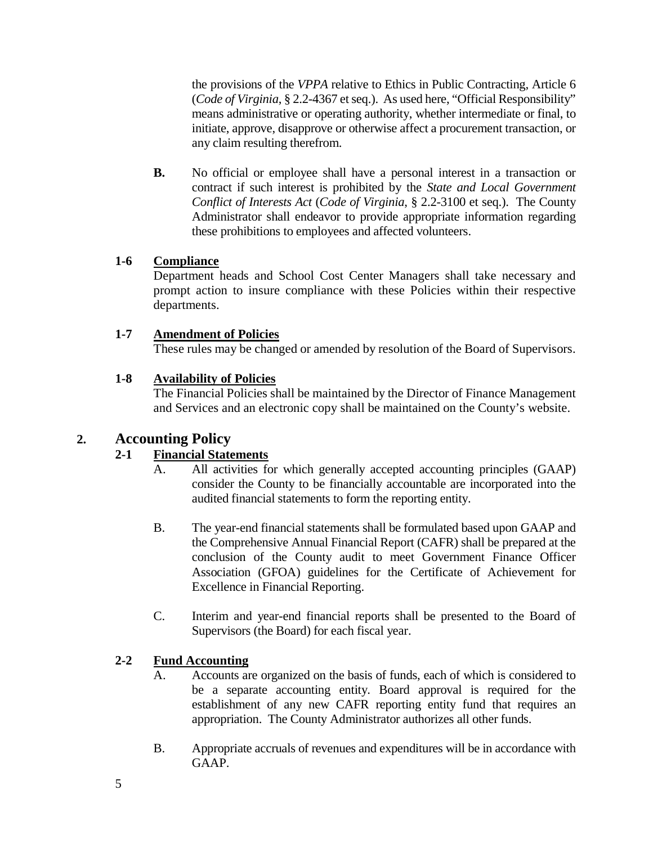the provisions of the *VPPA* relative to Ethics in Public Contracting, Article 6 (*Code of Virginia*, § 2.2-4367 et seq.). As used here, "Official Responsibility" means administrative or operating authority, whether intermediate or final, to initiate, approve, disapprove or otherwise affect a procurement transaction, or any claim resulting therefrom.

**B.** No official or employee shall have a personal interest in a transaction or contract if such interest is prohibited by the *State and Local Government Conflict of Interests Act* (*Code of Virginia*, § 2.2-3100 et seq.). The County Administrator shall endeavor to provide appropriate information regarding these prohibitions to employees and affected volunteers.

## <span id="page-4-0"></span>**1-6 Compliance**

Department heads and School Cost Center Managers shall take necessary and prompt action to insure compliance with these Policies within their respective departments.

## <span id="page-4-1"></span>**1-7 Amendment of Policies**

These rules may be changed or amended by resolution of the Board of Supervisors.

## <span id="page-4-2"></span>**1-8 Availability of Policies**

The Financial Policies shall be maintained by the Director of Finance Management and Services and an electronic copy shall be maintained on the County's website.

## <span id="page-4-4"></span><span id="page-4-3"></span>**2. Accounting Policy**

## **2-1 Financial Statements**

- A. All activities for which generally accepted accounting principles (GAAP) consider the County to be financially accountable are incorporated into the audited financial statements to form the reporting entity.
- B. The year-end financial statements shall be formulated based upon GAAP and the Comprehensive Annual Financial Report (CAFR) shall be prepared at the conclusion of the County audit to meet Government Finance Officer Association (GFOA) guidelines for the Certificate of Achievement for Excellence in Financial Reporting.
- C. Interim and year-end financial reports shall be presented to the Board of Supervisors (the Board) for each fiscal year.

## <span id="page-4-5"></span>**2-2 Fund Accounting**

- A. Accounts are organized on the basis of funds, each of which is considered to be a separate accounting entity. Board approval is required for the establishment of any new CAFR reporting entity fund that requires an appropriation. The County Administrator authorizes all other funds.
- B. Appropriate accruals of revenues and expenditures will be in accordance with GAAP.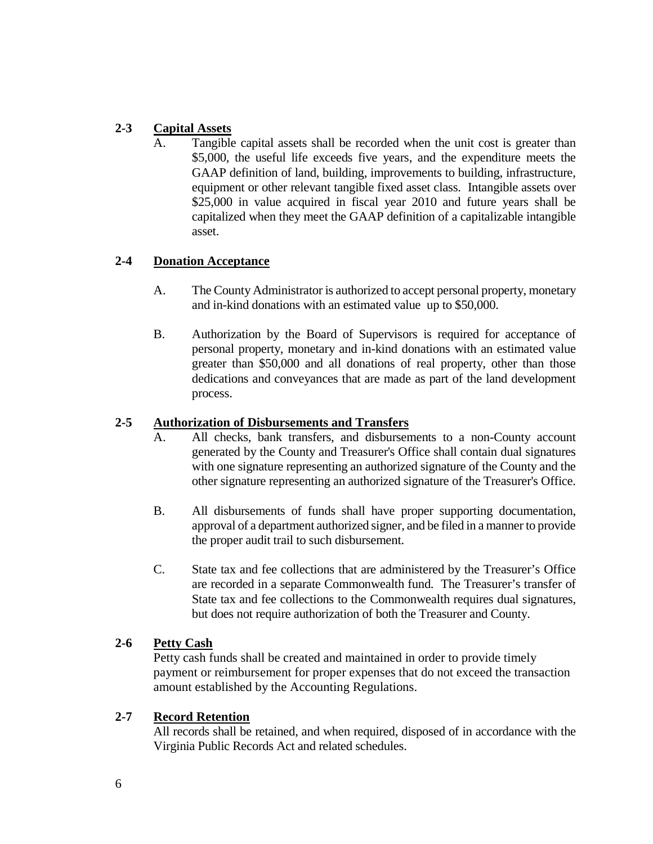## <span id="page-5-0"></span>**2-3 Capital Assets**

A. Tangible capital assets shall be recorded when the unit cost is greater than \$5,000, the useful life exceeds five years, and the expenditure meets the GAAP definition of land, building, improvements to building, infrastructure, equipment or other relevant tangible fixed asset class. Intangible assets over \$25,000 in value acquired in fiscal year 2010 and future years shall be capitalized when they meet the GAAP definition of a capitalizable intangible asset.

## <span id="page-5-1"></span>**2-4 Donation Acceptance**

- A. The County Administrator is authorized to accept personal property, monetary and in-kind donations with an estimated value up to \$50,000.
- B. Authorization by the Board of Supervisors is required for acceptance of personal property, monetary and in-kind donations with an estimated value greater than \$50,000 and all donations of real property, other than those dedications and conveyances that are made as part of the land development process.

## <span id="page-5-2"></span>**2-5 Authorization of Disbursements and Transfers**

- A. All checks, bank transfers, and disbursements to a non-County account generated by the County and Treasurer's Office shall contain dual signatures with one signature representing an authorized signature of the County and the other signature representing an authorized signature of the Treasurer's Office.
- B. All disbursements of funds shall have proper supporting documentation, approval of a department authorized signer, and be filed in a manner to provide the proper audit trail to such disbursement.
- C. State tax and fee collections that are administered by the Treasurer's Office are recorded in a separate Commonwealth fund. The Treasurer's transfer of State tax and fee collections to the Commonwealth requires dual signatures, but does not require authorization of both the Treasurer and County.

#### <span id="page-5-3"></span>**2-6 Petty Cash**

Petty cash funds shall be created and maintained in order to provide timely payment or reimbursement for proper expenses that do not exceed the transaction amount established by the Accounting Regulations.

## <span id="page-5-4"></span>**2-7 Record Retention**

All records shall be retained, and when required, disposed of in accordance with the Virginia Public Records Act and related schedules.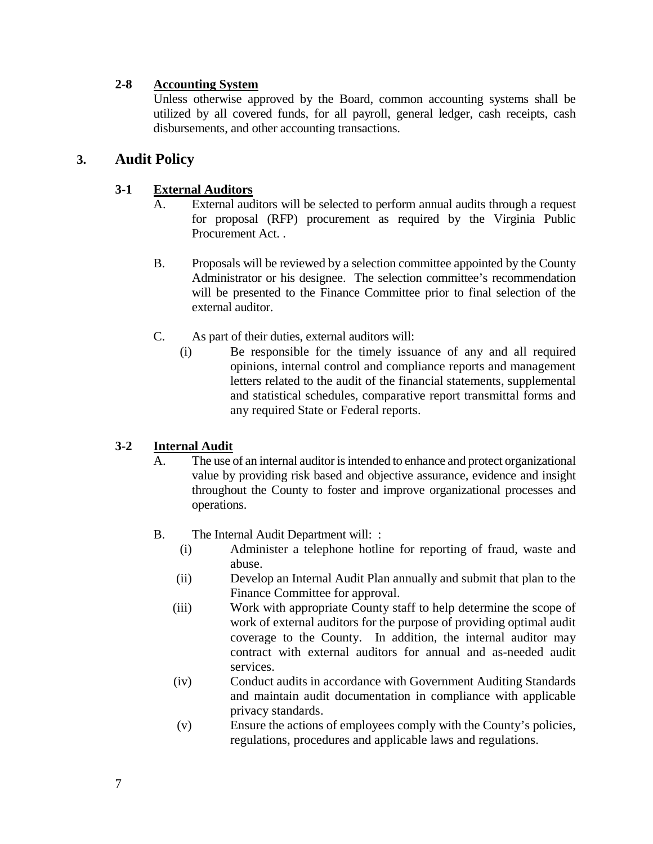### <span id="page-6-0"></span>**2-8 Accounting System**

Unless otherwise approved by the Board, common accounting systems shall be utilized by all covered funds, for all payroll, general ledger, cash receipts, cash disbursements, and other accounting transactions.

## <span id="page-6-2"></span><span id="page-6-1"></span>**3. Audit Policy**

#### **3-1 External Auditors**

- A. External auditors will be selected to perform annual audits through a request for proposal (RFP) procurement as required by the Virginia Public Procurement Act. .
- B. Proposals will be reviewed by a selection committee appointed by the County Administrator or his designee. The selection committee's recommendation will be presented to the Finance Committee prior to final selection of the external auditor.
- C. As part of their duties, external auditors will:
	- (i) Be responsible for the timely issuance of any and all required opinions, internal control and compliance reports and management letters related to the audit of the financial statements, supplemental and statistical schedules, comparative report transmittal forms and any required State or Federal reports.

## <span id="page-6-3"></span>**3-2 Internal Audit**

- A. The use of an internal auditor is intended to enhance and protect organizational value by providing risk based and objective assurance, evidence and insight throughout the County to foster and improve organizational processes and operations.
- B. The Internal Audit Department will: :
	- (i) Administer a telephone hotline for reporting of fraud, waste and abuse.
	- (ii) Develop an Internal Audit Plan annually and submit that plan to the Finance Committee for approval.
	- (iii) Work with appropriate County staff to help determine the scope of work of external auditors for the purpose of providing optimal audit coverage to the County. In addition, the internal auditor may contract with external auditors for annual and as-needed audit services.
	- (iv) Conduct audits in accordance with Government Auditing Standards and maintain audit documentation in compliance with applicable privacy standards.
	- (v) Ensure the actions of employees comply with the County's policies, regulations, procedures and applicable laws and regulations.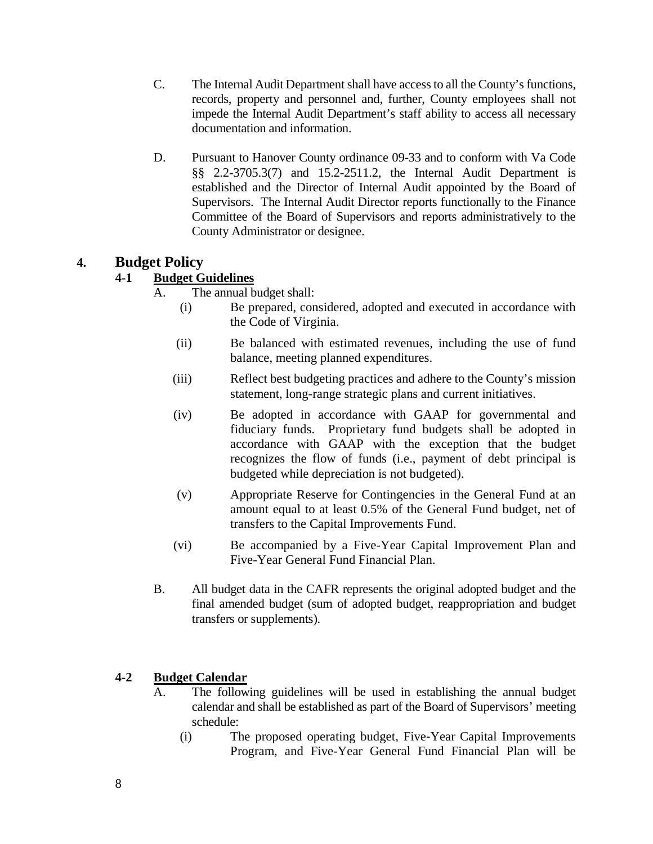- C. The Internal Audit Department shall have access to all the County's functions, records, property and personnel and, further, County employees shall not impede the Internal Audit Department's staff ability to access all necessary documentation and information.
- D. Pursuant to Hanover County ordinance 09-33 and to conform with Va Code §§ 2.2-3705.3(7) and 15.2-2511.2, the Internal Audit Department is established and the Director of Internal Audit appointed by the Board of Supervisors. The Internal Audit Director reports functionally to the Finance Committee of the Board of Supervisors and reports administratively to the County Administrator or designee.

## <span id="page-7-1"></span><span id="page-7-0"></span>**4. Budget Policy**

## **4-1 Budget Guidelines**

- A. The annual budget shall:
	- (i) Be prepared, considered, adopted and executed in accordance with the Code of Virginia.
	- (ii) Be balanced with estimated revenues, including the use of fund balance, meeting planned expenditures.
	- (iii) Reflect best budgeting practices and adhere to the County's mission statement, long-range strategic plans and current initiatives.
	- (iv) Be adopted in accordance with GAAP for governmental and fiduciary funds. Proprietary fund budgets shall be adopted in accordance with GAAP with the exception that the budget recognizes the flow of funds (i.e., payment of debt principal is budgeted while depreciation is not budgeted).
	- (v) Appropriate Reserve for Contingencies in the General Fund at an amount equal to at least 0.5% of the General Fund budget, net of transfers to the Capital Improvements Fund.
	- (vi) Be accompanied by a Five-Year Capital Improvement Plan and Five-Year General Fund Financial Plan.
- B. All budget data in the CAFR represents the original adopted budget and the final amended budget (sum of adopted budget, reappropriation and budget transfers or supplements).

## <span id="page-7-2"></span>**4-2 Budget Calendar**

- A. The following guidelines will be used in establishing the annual budget calendar and shall be established as part of the Board of Supervisors' meeting schedule:
	- (i) The proposed operating budget, Five‐Year Capital Improvements Program, and Five-Year General Fund Financial Plan will be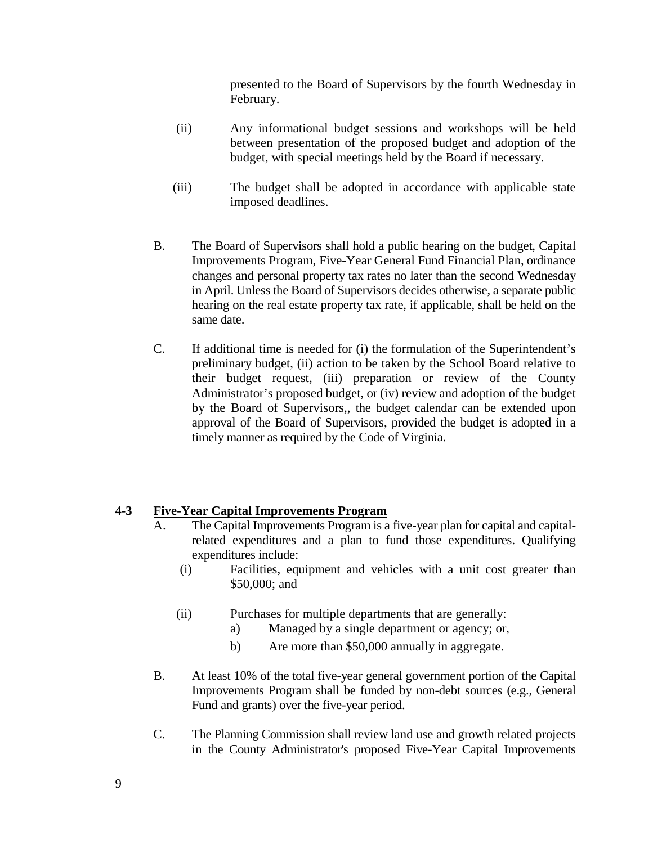presented to the Board of Supervisors by the fourth Wednesday in February.

- (ii) Any informational budget sessions and workshops will be held between presentation of the proposed budget and adoption of the budget, with special meetings held by the Board if necessary.
- (iii) The budget shall be adopted in accordance with applicable state imposed deadlines.
- B. The Board of Supervisors shall hold a public hearing on the budget, Capital Improvements Program, Five-Year General Fund Financial Plan, ordinance changes and personal property tax rates no later than the second Wednesday in April. Unless the Board of Supervisors decides otherwise, a separate public hearing on the real estate property tax rate, if applicable, shall be held on the same date.
- C. If additional time is needed for (i) the formulation of the Superintendent's preliminary budget, (ii) action to be taken by the School Board relative to their budget request, (iii) preparation or review of the County Administrator's proposed budget, or (iv) review and adoption of the budget by the Board of Supervisors,, the budget calendar can be extended upon approval of the Board of Supervisors, provided the budget is adopted in a timely manner as required by the Code of Virginia.

## <span id="page-8-0"></span>**4-3 Five-Year Capital Improvements Program**

- A. The Capital Improvements Program is a five-year plan for capital and capitalrelated expenditures and a plan to fund those expenditures. Qualifying expenditures include:
	- (i) Facilities, equipment and vehicles with a unit cost greater than \$50,000; and
	- (ii) Purchases for multiple departments that are generally:
		- a) Managed by a single department or agency; or,
		- b) Are more than \$50,000 annually in aggregate.
- B. At least 10% of the total five-year general government portion of the Capital Improvements Program shall be funded by non-debt sources (e.g., General Fund and grants) over the five-year period.
- C. The Planning Commission shall review land use and growth related projects in the County Administrator's proposed Five-Year Capital Improvements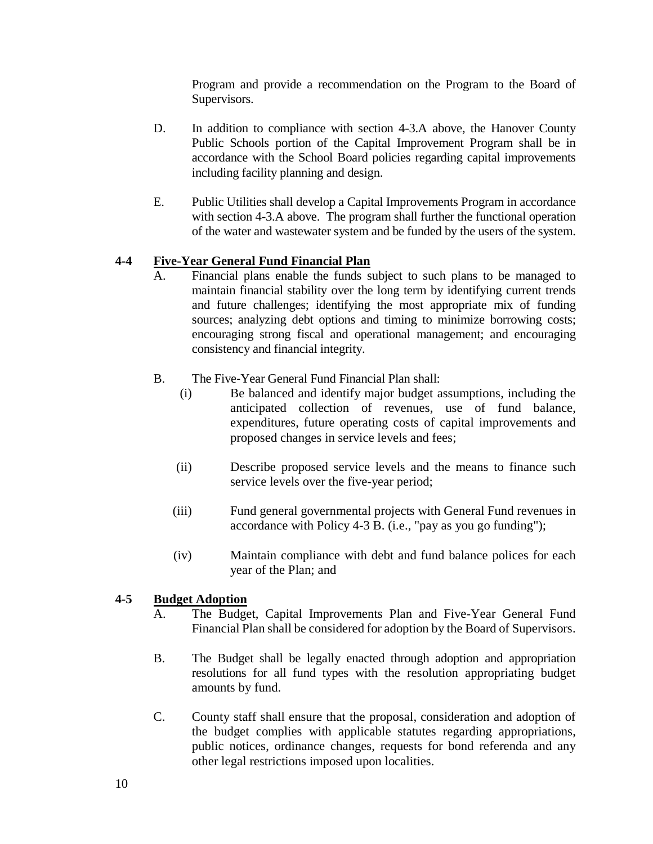Program and provide a recommendation on the Program to the Board of Supervisors.

- D. In addition to compliance with section 4-3.A above, the Hanover County Public Schools portion of the Capital Improvement Program shall be in accordance with the School Board policies regarding capital improvements including facility planning and design.
- E. Public Utilities shall develop a Capital Improvements Program in accordance with section 4-3.A above. The program shall further the functional operation of the water and wastewater system and be funded by the users of the system.

## <span id="page-9-0"></span>**4-4 Five-Year General Fund Financial Plan**

- A. Financial plans enable the funds subject to such plans to be managed to maintain financial stability over the long term by identifying current trends and future challenges; identifying the most appropriate mix of funding sources; analyzing debt options and timing to minimize borrowing costs; encouraging strong fiscal and operational management; and encouraging consistency and financial integrity.
- B. The Five-Year General Fund Financial Plan shall:<br>(i) Be balanced and identify major budget a
	- Be balanced and identify major budget assumptions, including the anticipated collection of revenues, use of fund balance, expenditures, future operating costs of capital improvements and proposed changes in service levels and fees;
	- (ii) Describe proposed service levels and the means to finance such service levels over the five-year period;
	- (iii) Fund general governmental projects with General Fund revenues in accordance with Policy 4-3 B. (i.e., "pay as you go funding");
	- (iv) Maintain compliance with debt and fund balance polices for each year of the Plan; and

## <span id="page-9-1"></span>**4-5 Budget Adoption**

- A. The Budget, Capital Improvements Plan and Five-Year General Fund Financial Plan shall be considered for adoption by the Board of Supervisors.
- B. The Budget shall be legally enacted through adoption and appropriation resolutions for all fund types with the resolution appropriating budget amounts by fund.
- C. County staff shall ensure that the proposal, consideration and adoption of the budget complies with applicable statutes regarding appropriations, public notices, ordinance changes, requests for bond referenda and any other legal restrictions imposed upon localities.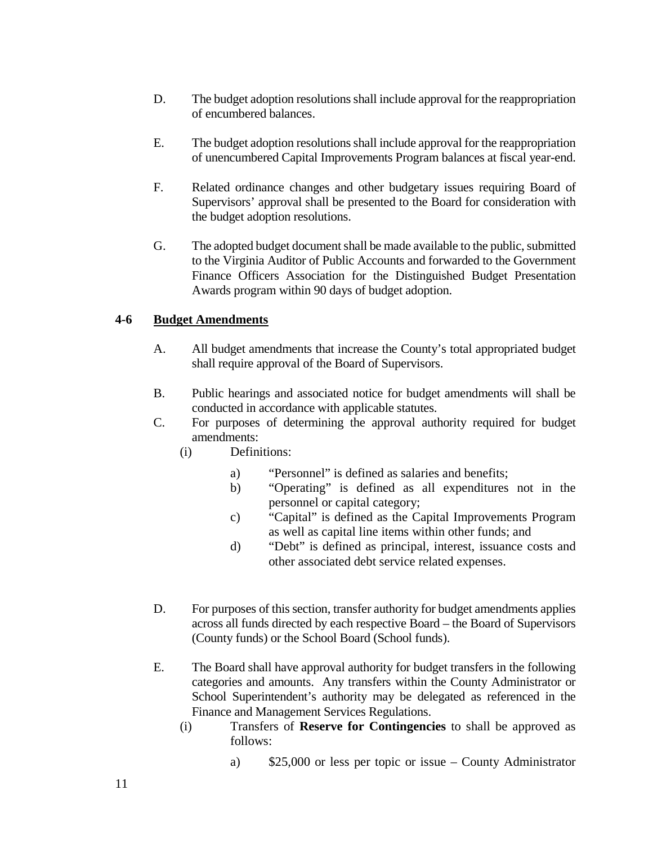- D. The budget adoption resolutions shall include approval for the reappropriation of encumbered balances.
- E. The budget adoption resolutions shall include approval for the reappropriation of unencumbered Capital Improvements Program balances at fiscal year-end.
- F. Related ordinance changes and other budgetary issues requiring Board of Supervisors' approval shall be presented to the Board for consideration with the budget adoption resolutions.
- G. The adopted budget document shall be made available to the public, submitted to the Virginia Auditor of Public Accounts and forwarded to the Government Finance Officers Association for the Distinguished Budget Presentation Awards program within 90 days of budget adoption.

## <span id="page-10-0"></span>**4-6 Budget Amendments**

- A. All budget amendments that increase the County's total appropriated budget shall require approval of the Board of Supervisors.
- B. Public hearings and associated notice for budget amendments will shall be conducted in accordance with applicable statutes.
- C. For purposes of determining the approval authority required for budget amendments:
	- (i) Definitions:
		- a) "Personnel" is defined as salaries and benefits;
		- b) "Operating" is defined as all expenditures not in the personnel or capital category;
		- c) "Capital" is defined as the Capital Improvements Program as well as capital line items within other funds; and
		- d) "Debt" is defined as principal, interest, issuance costs and other associated debt service related expenses.
- D. For purposes of this section, transfer authority for budget amendments applies across all funds directed by each respective Board – the Board of Supervisors (County funds) or the School Board (School funds).
- E. The Board shall have approval authority for budget transfers in the following categories and amounts. Any transfers within the County Administrator or School Superintendent's authority may be delegated as referenced in the Finance and Management Services Regulations.
	- (i) Transfers of **Reserve for Contingencies** to shall be approved as follows:

a) \$25,000 or less per topic or issue – County Administrator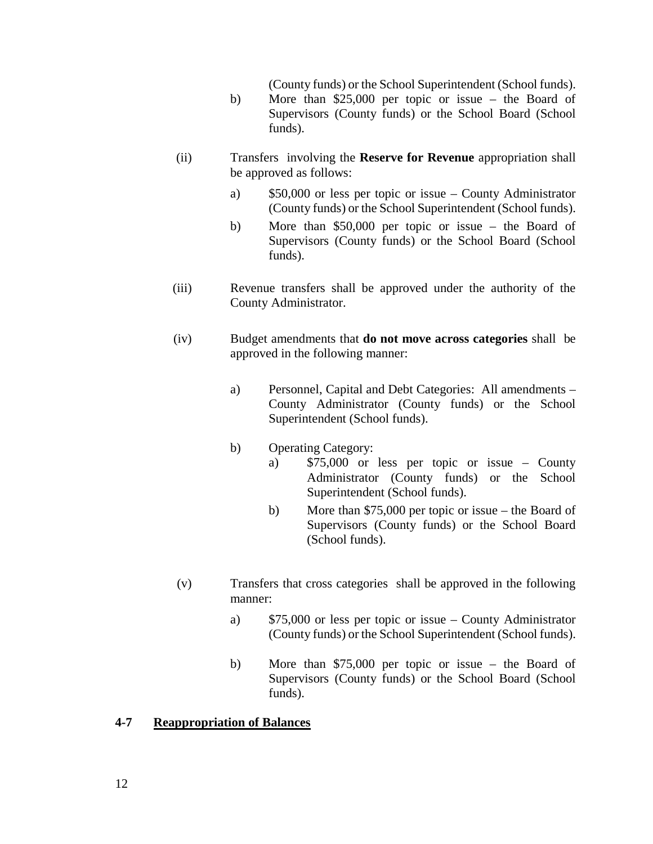(County funds) or the School Superintendent (School funds).

- b) More than \$25,000 per topic or issue the Board of Supervisors (County funds) or the School Board (School funds).
- (ii) Transfers involving the **Reserve for Revenue** appropriation shall be approved as follows:
	- a) \$50,000 or less per topic or issue County Administrator (County funds) or the School Superintendent (School funds).
	- b) More than \$50,000 per topic or issue the Board of Supervisors (County funds) or the School Board (School funds).
- (iii) Revenue transfers shall be approved under the authority of the County Administrator.
- (iv) Budget amendments that **do not move across categories** shall be approved in the following manner:
	- a) Personnel, Capital and Debt Categories: All amendments County Administrator (County funds) or the School Superintendent (School funds).
	- b) Operating Category:
		- a) \$75,000 or less per topic or issue County Administrator (County funds) or the School Superintendent (School funds).
		- b) More than \$75,000 per topic or issue the Board of Supervisors (County funds) or the School Board (School funds).
- (v) Transfers that cross categories shall be approved in the following manner:
	- a) \$75,000 or less per topic or issue County Administrator (County funds) or the School Superintendent (School funds).
	- b) More than \$75,000 per topic or issue the Board of Supervisors (County funds) or the School Board (School funds).

#### <span id="page-11-0"></span>**4-7 Reappropriation of Balances**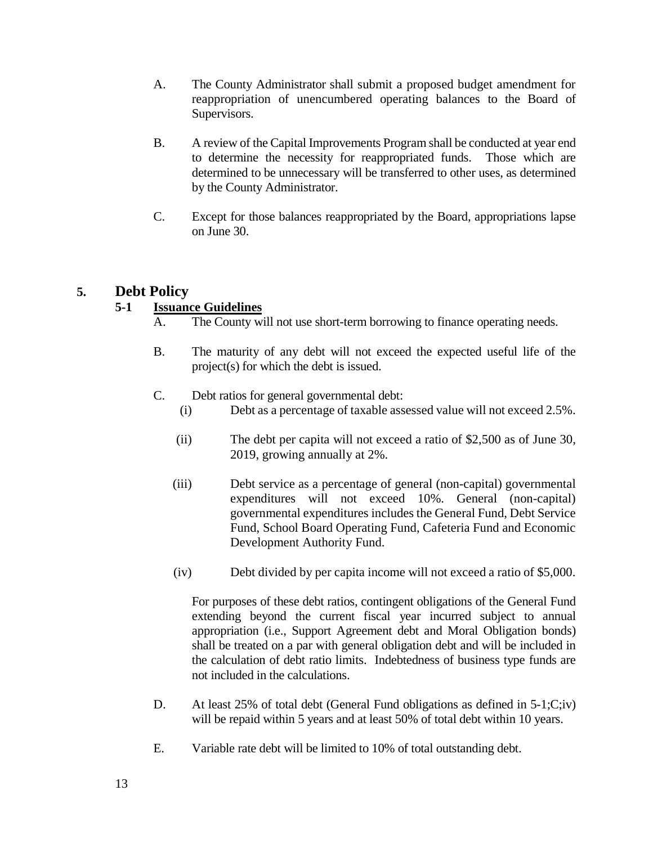- A. The County Administrator shall submit a proposed budget amendment for reappropriation of unencumbered operating balances to the Board of Supervisors.
- B. A review of the Capital Improvements Program shall be conducted at year end to determine the necessity for reappropriated funds. Those which are determined to be unnecessary will be transferred to other uses, as determined by the County Administrator.
- C. Except for those balances reappropriated by the Board, appropriations lapse on June 30.

## <span id="page-12-1"></span><span id="page-12-0"></span>**5. Debt Policy**

## **5-1 Issuance Guidelines**

- A. The County will not use short-term borrowing to finance operating needs.
- B. The maturity of any debt will not exceed the expected useful life of the project(s) for which the debt is issued.
- C. Debt ratios for general governmental debt:
	- (i) Debt as a percentage of taxable assessed value will not exceed 2.5%.
	- (ii) The debt per capita will not exceed a ratio of \$2,500 as of June 30, 2019, growing annually at 2%.
	- (iii) Debt service as a percentage of general (non-capital) governmental expenditures will not exceed 10%. General (non-capital) governmental expenditures includes the General Fund, Debt Service Fund, School Board Operating Fund, Cafeteria Fund and Economic Development Authority Fund.
	- (iv) Debt divided by per capita income will not exceed a ratio of \$5,000.

For purposes of these debt ratios, contingent obligations of the General Fund extending beyond the current fiscal year incurred subject to annual appropriation (i.e., Support Agreement debt and Moral Obligation bonds) shall be treated on a par with general obligation debt and will be included in the calculation of debt ratio limits. Indebtedness of business type funds are not included in the calculations.

- D. At least 25% of total debt (General Fund obligations as defined in 5-1;C;iv) will be repaid within 5 years and at least 50% of total debt within 10 years.
- E. Variable rate debt will be limited to 10% of total outstanding debt.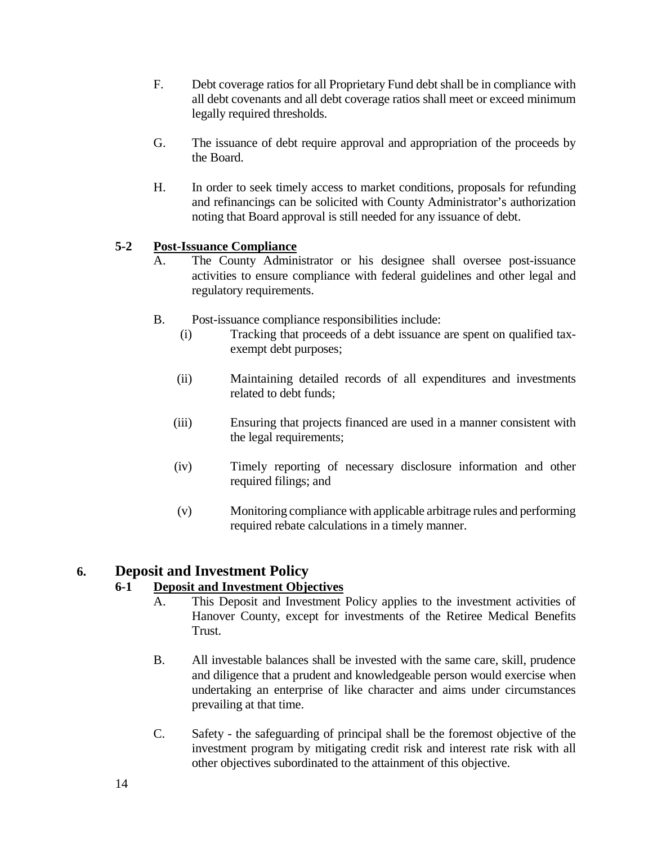- F. Debt coverage ratios for all Proprietary Fund debt shall be in compliance with all debt covenants and all debt coverage ratios shall meet or exceed minimum legally required thresholds.
- G. The issuance of debt require approval and appropriation of the proceeds by the Board.
- H. In order to seek timely access to market conditions, proposals for refunding and refinancings can be solicited with County Administrator's authorization noting that Board approval is still needed for any issuance of debt.

## <span id="page-13-0"></span>**5-2 Post-Issuance Compliance**

- A. The County Administrator or his designee shall oversee post-issuance activities to ensure compliance with federal guidelines and other legal and regulatory requirements.
- B. Post-issuance compliance responsibilities include:
	- (i) Tracking that proceeds of a debt issuance are spent on qualified taxexempt debt purposes;
	- (ii) Maintaining detailed records of all expenditures and investments related to debt funds;
	- (iii) Ensuring that projects financed are used in a manner consistent with the legal requirements;
	- (iv) Timely reporting of necessary disclosure information and other required filings; and
	- (v) Monitoring compliance with applicable arbitrage rules and performing required rebate calculations in a timely manner.

## <span id="page-13-2"></span><span id="page-13-1"></span>**6. Deposit and Investment Policy**

## **6-1 Deposit and Investment Objectives**

- A. This Deposit and Investment Policy applies to the investment activities of Hanover County, except for investments of the Retiree Medical Benefits Trust.
- B. All investable balances shall be invested with the same care, skill, prudence and diligence that a prudent and knowledgeable person would exercise when undertaking an enterprise of like character and aims under circumstances prevailing at that time.
- C. Safety the safeguarding of principal shall be the foremost objective of the investment program by mitigating credit risk and interest rate risk with all other objectives subordinated to the attainment of this objective.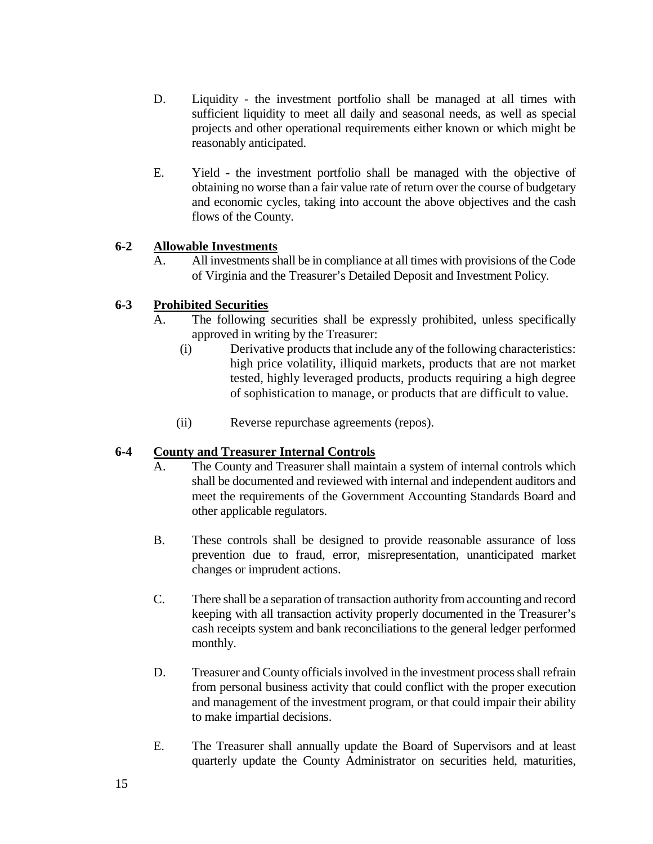- D. Liquidity the investment portfolio shall be managed at all times with sufficient liquidity to meet all daily and seasonal needs, as well as special projects and other operational requirements either known or which might be reasonably anticipated.
- E. Yield the investment portfolio shall be managed with the objective of obtaining no worse than a fair value rate of return over the course of budgetary and economic cycles, taking into account the above objectives and the cash flows of the County.

## <span id="page-14-0"></span>**6-2 Allowable Investments**

A. All investments shall be in compliance at all times with provisions of the Code of Virginia and the Treasurer's Detailed Deposit and Investment Policy.

## <span id="page-14-1"></span>**6-3 Prohibited Securities**

- A. The following securities shall be expressly prohibited, unless specifically approved in writing by the Treasurer:
	- (i) Derivative products that include any of the following characteristics: high price volatility, illiquid markets, products that are not market tested, highly leveraged products, products requiring a high degree of sophistication to manage, or products that are difficult to value.
	- (ii) Reverse repurchase agreements (repos).

## <span id="page-14-2"></span>**6-4 County and Treasurer Internal Controls**

- A. The County and Treasurer shall maintain a system of internal controls which shall be documented and reviewed with internal and independent auditors and meet the requirements of the Government Accounting Standards Board and other applicable regulators.
- B. These controls shall be designed to provide reasonable assurance of loss prevention due to fraud, error, misrepresentation, unanticipated market changes or imprudent actions.
- C. There shall be a separation of transaction authority from accounting and record keeping with all transaction activity properly documented in the Treasurer's cash receipts system and bank reconciliations to the general ledger performed monthly.
- D. Treasurer and County officials involved in the investment process shall refrain from personal business activity that could conflict with the proper execution and management of the investment program, or that could impair their ability to make impartial decisions.
- E. The Treasurer shall annually update the Board of Supervisors and at least quarterly update the County Administrator on securities held, maturities,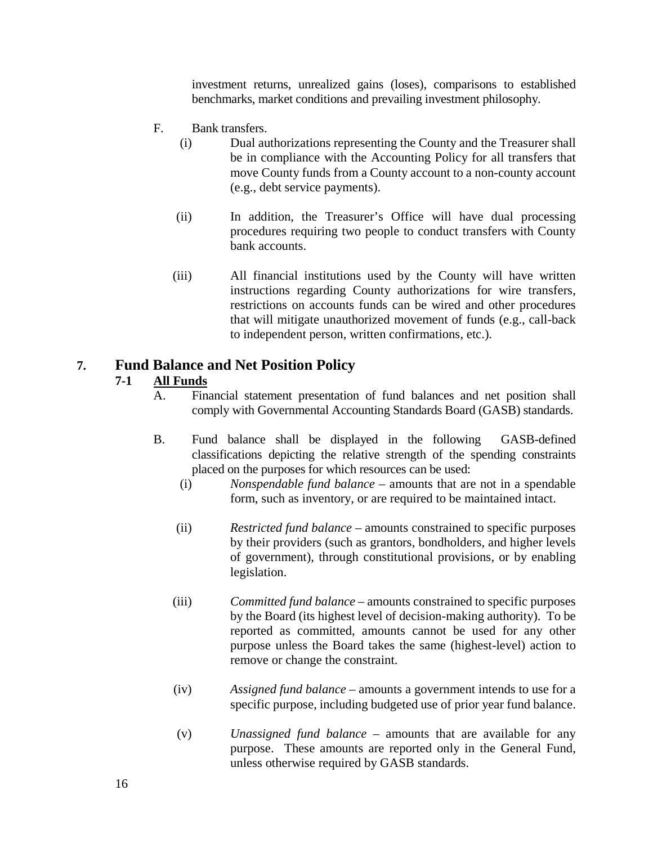investment returns, unrealized gains (loses), comparisons to established benchmarks, market conditions and prevailing investment philosophy.

- F. Bank transfers.
	- (i) Dual authorizations representing the County and the Treasurer shall be in compliance with the Accounting Policy for all transfers that move County funds from a County account to a non-county account (e.g., debt service payments).
	- (ii) In addition, the Treasurer's Office will have dual processing procedures requiring two people to conduct transfers with County bank accounts.
	- (iii) All financial institutions used by the County will have written instructions regarding County authorizations for wire transfers, restrictions on accounts funds can be wired and other procedures that will mitigate unauthorized movement of funds (e.g., call-back to independent person, written confirmations, etc.).

## <span id="page-15-1"></span><span id="page-15-0"></span>**7. Fund Balance and Net Position Policy**

#### **7-1 All Funds**

- A. Financial statement presentation of fund balances and net position shall comply with Governmental Accounting Standards Board (GASB) standards.
- B. Fund balance shall be displayed in the following GASB-defined classifications depicting the relative strength of the spending constraints placed on the purposes for which resources can be used:
	- (i) *Nonspendable fund balance* amounts that are not in a spendable form, such as inventory, or are required to be maintained intact.
	- (ii) *Restricted fund balance* amounts constrained to specific purposes by their providers (such as grantors, bondholders, and higher levels of government), through constitutional provisions, or by enabling legislation.
	- (iii) *Committed fund balance* amounts constrained to specific purposes by the Board (its highest level of decision-making authority). To be reported as committed, amounts cannot be used for any other purpose unless the Board takes the same (highest-level) action to remove or change the constraint.
	- (iv) *Assigned fund balance* amounts a government intends to use for a specific purpose, including budgeted use of prior year fund balance.
	- (v) *Unassigned fund balance* amounts that are available for any purpose. These amounts are reported only in the General Fund, unless otherwise required by GASB standards.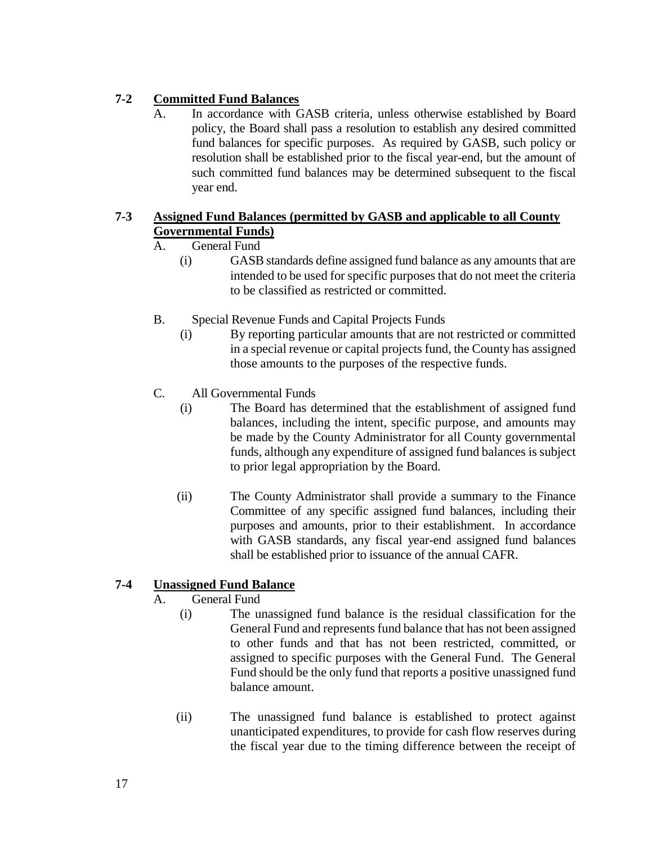## <span id="page-16-0"></span>**7-2 Committed Fund Balances**

A. In accordance with GASB criteria, unless otherwise established by Board policy, the Board shall pass a resolution to establish any desired committed fund balances for specific purposes. As required by GASB, such policy or resolution shall be established prior to the fiscal year-end, but the amount of such committed fund balances may be determined subsequent to the fiscal year end.

## <span id="page-16-1"></span>**7-3 Assigned Fund Balances (permitted by GASB and applicable to all County Governmental Funds)**

## A. General Fund

- (i) GASB standards define assigned fund balance as any amounts that are intended to be used for specific purposes that do not meet the criteria to be classified as restricted or committed.
- B. Special Revenue Funds and Capital Projects Funds
	- (i) By reporting particular amounts that are not restricted or committed in a special revenue or capital projects fund, the County has assigned those amounts to the purposes of the respective funds.
- C. All Governmental Funds
	- (i) The Board has determined that the establishment of assigned fund balances, including the intent, specific purpose, and amounts may be made by the County Administrator for all County governmental funds, although any expenditure of assigned fund balances is subject to prior legal appropriation by the Board.
	- (ii) The County Administrator shall provide a summary to the Finance Committee of any specific assigned fund balances, including their purposes and amounts, prior to their establishment. In accordance with GASB standards, any fiscal year-end assigned fund balances shall be established prior to issuance of the annual CAFR.

## <span id="page-16-2"></span>**7-4 Unassigned Fund Balance**

- A. General Fund
	- (i) The unassigned fund balance is the residual classification for the General Fund and represents fund balance that has not been assigned to other funds and that has not been restricted, committed, or assigned to specific purposes with the General Fund. The General Fund should be the only fund that reports a positive unassigned fund balance amount.
	- (ii) The unassigned fund balance is established to protect against unanticipated expenditures, to provide for cash flow reserves during the fiscal year due to the timing difference between the receipt of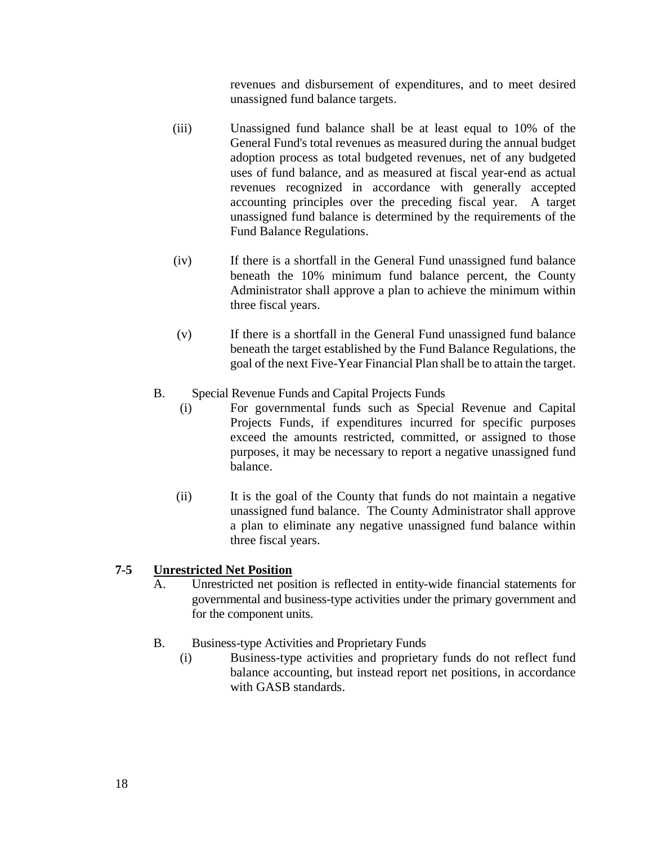revenues and disbursement of expenditures, and to meet desired unassigned fund balance targets.

- (iii) Unassigned fund balance shall be at least equal to 10% of the General Fund's total revenues as measured during the annual budget adoption process as total budgeted revenues, net of any budgeted uses of fund balance, and as measured at fiscal year-end as actual revenues recognized in accordance with generally accepted accounting principles over the preceding fiscal year. A target unassigned fund balance is determined by the requirements of the Fund Balance Regulations.
- (iv) If there is a shortfall in the General Fund unassigned fund balance beneath the 10% minimum fund balance percent, the County Administrator shall approve a plan to achieve the minimum within three fiscal years.
- (v) If there is a shortfall in the General Fund unassigned fund balance beneath the target established by the Fund Balance Regulations, the goal of the next Five-Year Financial Plan shall be to attain the target.
- B. Special Revenue Funds and Capital Projects Funds
	- (i) For governmental funds such as Special Revenue and Capital Projects Funds, if expenditures incurred for specific purposes exceed the amounts restricted, committed, or assigned to those purposes, it may be necessary to report a negative unassigned fund balance.
	- (ii) It is the goal of the County that funds do not maintain a negative unassigned fund balance. The County Administrator shall approve a plan to eliminate any negative unassigned fund balance within three fiscal years.

## <span id="page-17-0"></span>**7-5 Unrestricted Net Position**

- A. Unrestricted net position is reflected in entity-wide financial statements for governmental and business-type activities under the primary government and for the component units.
- B. Business-type Activities and Proprietary Funds
	- (i) Business-type activities and proprietary funds do not reflect fund balance accounting, but instead report net positions, in accordance with GASB standards.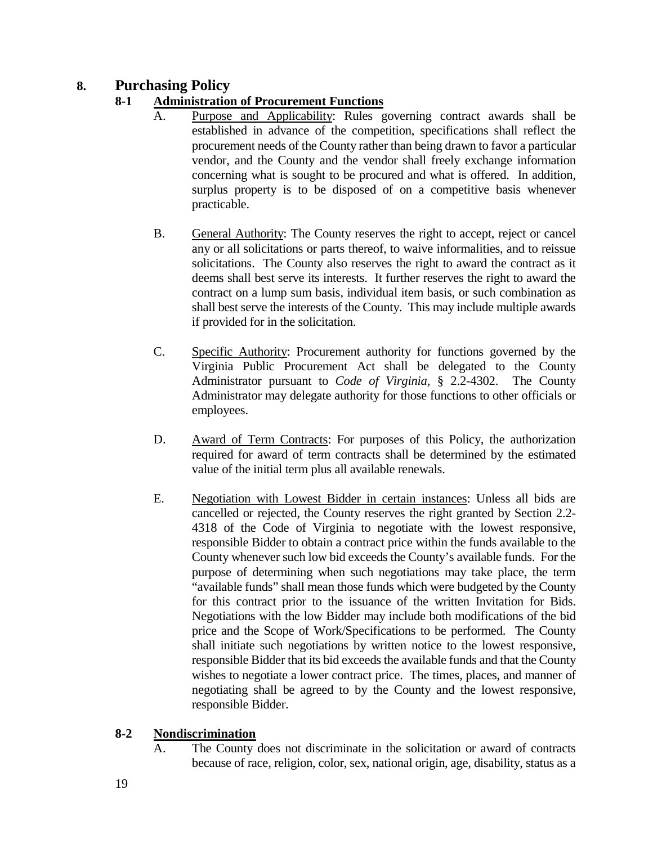## <span id="page-18-1"></span><span id="page-18-0"></span>**8. Purchasing Policy**

## **8-1 Administration of Procurement Functions**

- A. Purpose and Applicability: Rules governing contract awards shall be established in advance of the competition, specifications shall reflect the procurement needs of the County rather than being drawn to favor a particular vendor, and the County and the vendor shall freely exchange information concerning what is sought to be procured and what is offered. In addition, surplus property is to be disposed of on a competitive basis whenever practicable.
- B. General Authority: The County reserves the right to accept, reject or cancel any or all solicitations or parts thereof, to waive informalities, and to reissue solicitations. The County also reserves the right to award the contract as it deems shall best serve its interests. It further reserves the right to award the contract on a lump sum basis, individual item basis, or such combination as shall best serve the interests of the County. This may include multiple awards if provided for in the solicitation.
- C. Specific Authority: Procurement authority for functions governed by the Virginia Public Procurement Act shall be delegated to the County Administrator pursuant to *Code of Virginia,* § 2.2-4302. The County Administrator may delegate authority for those functions to other officials or employees.
- D. Award of Term Contracts: For purposes of this Policy, the authorization required for award of term contracts shall be determined by the estimated value of the initial term plus all available renewals.
- E. Negotiation with Lowest Bidder in certain instances: Unless all bids are cancelled or rejected, the County reserves the right granted by Section 2.2- 4318 of the Code of Virginia to negotiate with the lowest responsive, responsible Bidder to obtain a contract price within the funds available to the County whenever such low bid exceeds the County's available funds. For the purpose of determining when such negotiations may take place, the term "available funds" shall mean those funds which were budgeted by the County for this contract prior to the issuance of the written Invitation for Bids. Negotiations with the low Bidder may include both modifications of the bid price and the Scope of Work/Specifications to be performed. The County shall initiate such negotiations by written notice to the lowest responsive, responsible Bidder that its bid exceeds the available funds and that the County wishes to negotiate a lower contract price. The times, places, and manner of negotiating shall be agreed to by the County and the lowest responsive, responsible Bidder.

## <span id="page-18-2"></span>**8-2 Nondiscrimination**

A. The County does not discriminate in the solicitation or award of contracts because of race, religion, color, sex, national origin, age, disability, status as a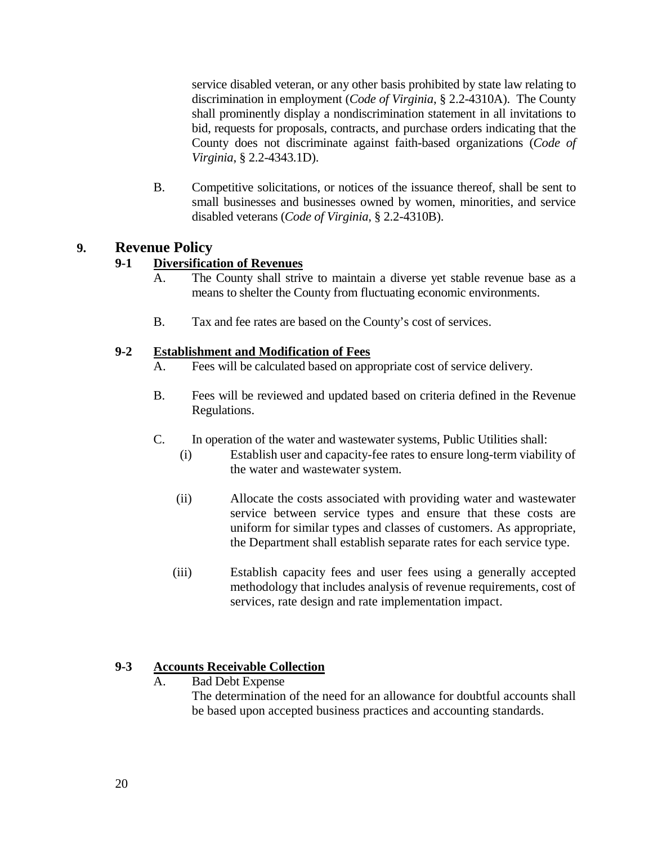service disabled veteran, or any other basis prohibited by state law relating to discrimination in employment (*Code of Virginia*, § 2.2-4310A). The County shall prominently display a nondiscrimination statement in all invitations to bid, requests for proposals, contracts, and purchase orders indicating that the County does not discriminate against faith-based organizations (*Code of Virginia*, § 2.2-4343.1D).

B. Competitive solicitations, or notices of the issuance thereof, shall be sent to small businesses and businesses owned by women, minorities, and service disabled veterans (*Code of Virginia*, § 2.2-4310B).

## <span id="page-19-1"></span><span id="page-19-0"></span>**9. Revenue Policy**

## **9-1 Diversification of Revenues**

- A. The County shall strive to maintain a diverse yet stable revenue base as a means to shelter the County from fluctuating economic environments.
- B. Tax and fee rates are based on the County's cost of services.

## <span id="page-19-2"></span>**9-2 Establishment and Modification of Fees**

- A. Fees will be calculated based on appropriate cost of service delivery.
- B. Fees will be reviewed and updated based on criteria defined in the Revenue Regulations.
- C. In operation of the water and wastewater systems, Public Utilities shall:
	- (i) Establish user and capacity-fee rates to ensure long-term viability of the water and wastewater system.
	- (ii) Allocate the costs associated with providing water and wastewater service between service types and ensure that these costs are uniform for similar types and classes of customers. As appropriate, the Department shall establish separate rates for each service type.
	- (iii) Establish capacity fees and user fees using a generally accepted methodology that includes analysis of revenue requirements, cost of services, rate design and rate implementation impact.

## <span id="page-19-3"></span>**9-3 Accounts Receivable Collection**

A. Bad Debt Expense The determination of the need for an allowance for doubtful accounts shall be based upon accepted business practices and accounting standards.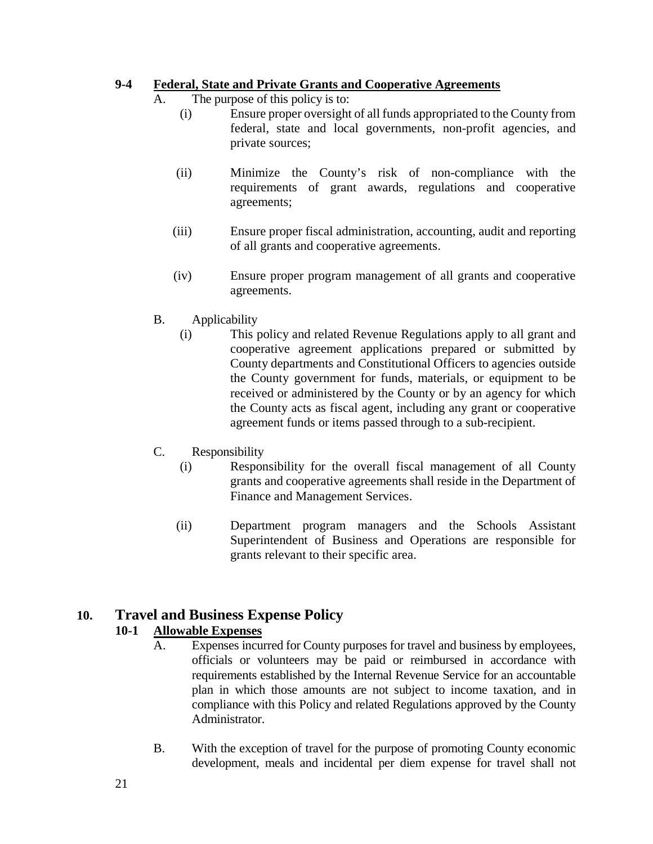## <span id="page-20-0"></span>**9-4 Federal, State and Private Grants and Cooperative Agreements**

- A. The purpose of this policy is to:
	- (i) Ensure proper oversight of all funds appropriated to the County from federal, state and local governments, non-profit agencies, and private sources;
	- (ii) Minimize the County's risk of non-compliance with the requirements of grant awards, regulations and cooperative agreements;
	- (iii) Ensure proper fiscal administration, accounting, audit and reporting of all grants and cooperative agreements.
	- (iv) Ensure proper program management of all grants and cooperative agreements.
- B. Applicability
	- (i) This policy and related Revenue Regulations apply to all grant and cooperative agreement applications prepared or submitted by County departments and Constitutional Officers to agencies outside the County government for funds, materials, or equipment to be received or administered by the County or by an agency for which the County acts as fiscal agent, including any grant or cooperative agreement funds or items passed through to a sub-recipient.
- C. Responsibility
	- (i) Responsibility for the overall fiscal management of all County grants and cooperative agreements shall reside in the Department of Finance and Management Services.
	- (ii) Department program managers and the Schools Assistant Superintendent of Business and Operations are responsible for grants relevant to their specific area.

## <span id="page-20-2"></span><span id="page-20-1"></span>**10. Travel and Business Expense Policy**

## **10-1 Allowable Expenses**

- A. Expenses incurred for County purposes for travel and business by employees, officials or volunteers may be paid or reimbursed in accordance with requirements established by the Internal Revenue Service for an accountable plan in which those amounts are not subject to income taxation, and in compliance with this Policy and related Regulations approved by the County Administrator.
- B. With the exception of travel for the purpose of promoting County economic development, meals and incidental per diem expense for travel shall not